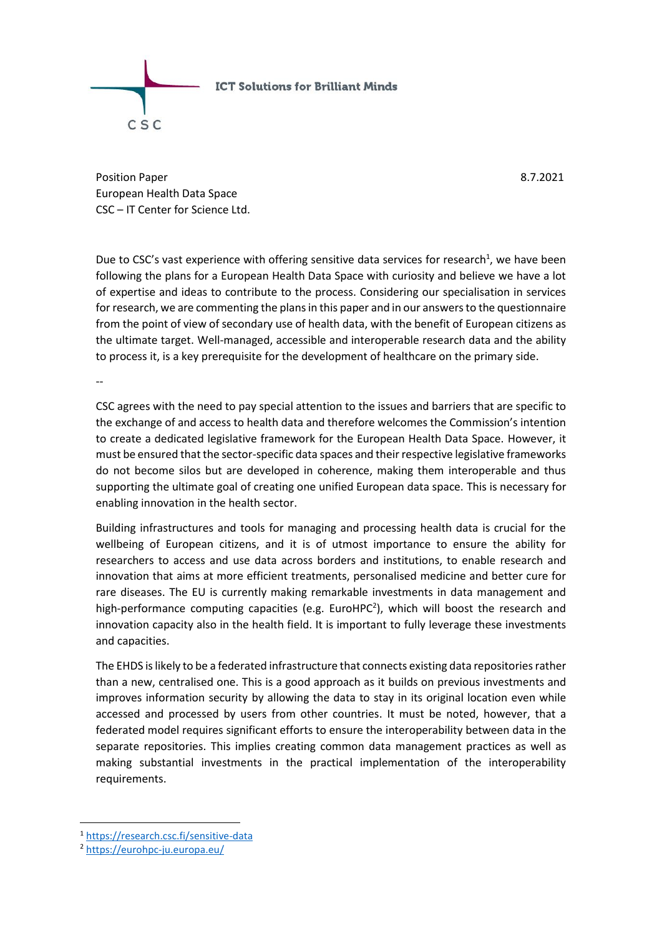

Position Paper 8.7.2021 European Health Data Space CSC – IT Center for Science Ltd.

Due to CSC's vast experience with offering sensitive data services for research<sup>1</sup>, we have been following the plans for a European Health Data Space with curiosity and believe we have a lot of expertise and ideas to contribute to the process. Considering our specialisation in services for research, we are commenting the plans in this paper and in our answers to the questionnaire from the point of view of secondary use of health data, with the benefit of European citizens as the ultimate target. Well-managed, accessible and interoperable research data and the ability to process it, is a key prerequisite for the development of healthcare on the primary side.

--

CSC agrees with the need to pay special attention to the issues and barriers that are specific to the exchange of and access to health data and therefore welcomes the Commission's intention to create a dedicated legislative framework for the European Health Data Space. However, it must be ensured that the sector-specific data spaces and their respective legislative frameworks do not become silos but are developed in coherence, making them interoperable and thus supporting the ultimate goal of creating one unified European data space. This is necessary for enabling innovation in the health sector.

Building infrastructures and tools for managing and processing health data is crucial for the wellbeing of European citizens, and it is of utmost importance to ensure the ability for researchers to access and use data across borders and institutions, to enable research and innovation that aims at more efficient treatments, personalised medicine and better cure for rare diseases. The EU is currently making remarkable investments in data management and high-performance computing capacities (e.g. EuroHPC<sup>2</sup>), which will boost the research and innovation capacity also in the health field. It is important to fully leverage these investments and capacities.

The EHDS is likely to be a federated infrastructure that connects existing data repositories rather than a new, centralised one. This is a good approach as it builds on previous investments and improves information security by allowing the data to stay in its original location even while accessed and processed by users from other countries. It must be noted, however, that a federated model requires significant efforts to ensure the interoperability between data in the separate repositories. This implies creating common data management practices as well as making substantial investments in the practical implementation of the interoperability requirements.

1

<sup>1</sup> <https://research.csc.fi/sensitive-data>

<sup>2</sup> <https://eurohpc-ju.europa.eu/>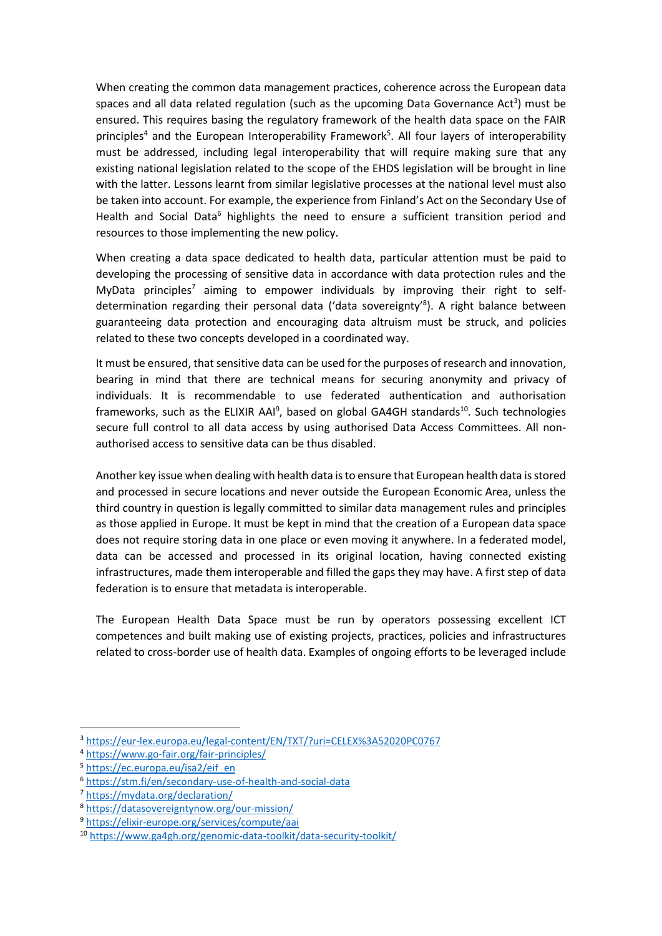When creating the common data management practices, coherence across the European data spaces and all data related regulation (such as the upcoming Data Governance Act<sup>3</sup>) must be ensured. This requires basing the regulatory framework of the health data space on the FAIR principles<sup>4</sup> and the European Interoperability Framework<sup>5</sup>. All four layers of interoperability must be addressed, including legal interoperability that will require making sure that any existing national legislation related to the scope of the EHDS legislation will be brought in line with the latter. Lessons learnt from similar legislative processes at the national level must also be taken into account. For example, the experience from Finland's Act on the Secondary Use of Health and Social Data<sup>6</sup> highlights the need to ensure a sufficient transition period and resources to those implementing the new policy.

When creating a data space dedicated to health data, particular attention must be paid to developing the processing of sensitive data in accordance with data protection rules and the MyData principles<sup>7</sup> aiming to empower individuals by improving their right to selfdetermination regarding their personal data ('data sovereignty'<sup>8</sup>). A right balance between guaranteeing data protection and encouraging data altruism must be struck, and policies related to these two concepts developed in a coordinated way.

It must be ensured, that sensitive data can be used for the purposes of research and innovation, bearing in mind that there are technical means for securing anonymity and privacy of individuals. It is recommendable to use federated authentication and authorisation frameworks, such as the ELIXIR AAI<sup>9</sup>, based on global GA4GH standards<sup>10</sup>. Such technologies secure full control to all data access by using authorised Data Access Committees. All nonauthorised access to sensitive data can be thus disabled.

Another key issue when dealing with health data is to ensure that European health data is stored and processed in secure locations and never outside the European Economic Area, unless the third country in question is legally committed to similar data management rules and principles as those applied in Europe. It must be kept in mind that the creation of a European data space does not require storing data in one place or even moving it anywhere. In a federated model, data can be accessed and processed in its original location, having connected existing infrastructures, made them interoperable and filled the gaps they may have. A first step of data federation is to ensure that metadata is interoperable.

The European Health Data Space must be run by operators possessing excellent ICT competences and built making use of existing projects, practices, policies and infrastructures related to cross-border use of health data. Examples of ongoing efforts to be leveraged include

 $\overline{a}$ 

<sup>3</sup> <https://eur-lex.europa.eu/legal-content/EN/TXT/?uri=CELEX%3A52020PC0767>

<sup>4</sup> <https://www.go-fair.org/fair-principles/>

<sup>5</sup> [https://ec.europa.eu/isa2/eif\\_en](https://ec.europa.eu/isa2/eif_en)

<sup>6</sup> <https://stm.fi/en/secondary-use-of-health-and-social-data>

<sup>7</sup> <https://mydata.org/declaration/>

<sup>8</sup> <https://datasovereigntynow.org/our-mission/>

<sup>9</sup> <https://elixir-europe.org/services/compute/aai>

<sup>10</sup> <https://www.ga4gh.org/genomic-data-toolkit/data-security-toolkit/>